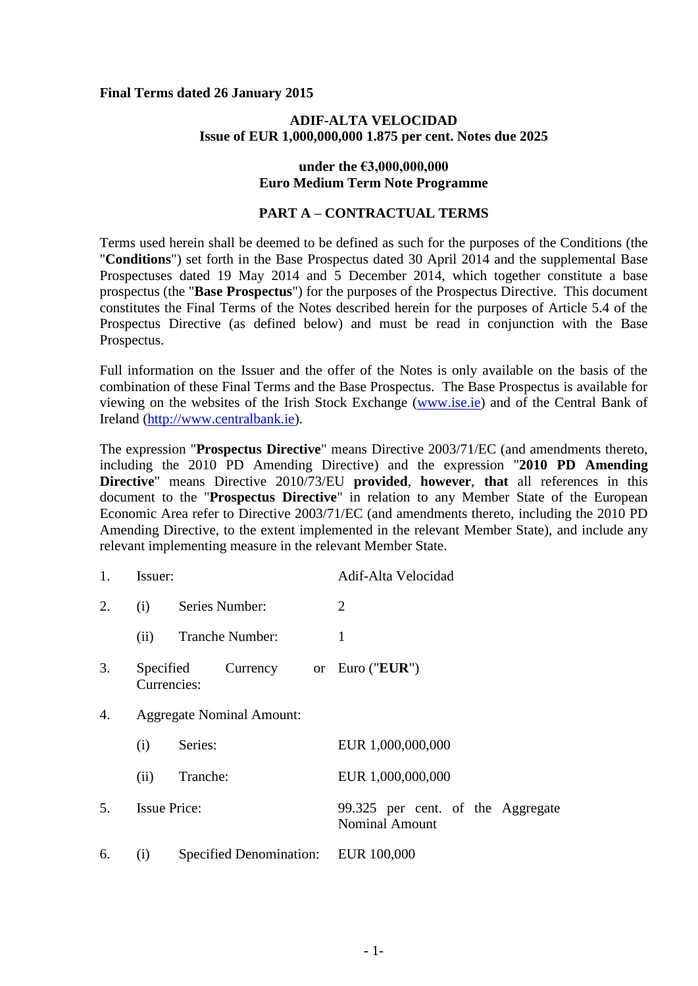### **Final Terms dated 26 January 2015**

## **ADIF-ALTA VELOCIDAD Issue of EUR 1,000,000,000 1.875 per cent. Notes due 2025**

## **under the €3,000,000,000 Euro Medium Term Note Programme**

## **PART A – CONTRACTUAL TERMS**

Terms used herein shall be deemed to be defined as such for the purposes of the Conditions (the "**Conditions**") set forth in the Base Prospectus dated 30 April 2014 and the supplemental Base Prospectuses dated 19 May 2014 and 5 December 2014, which together constitute a base prospectus (the "**Base Prospectus**") for the purposes of the Prospectus Directive. This document constitutes the Final Terms of the Notes described herein for the purposes of Article 5.4 of the Prospectus Directive (as defined below) and must be read in conjunction with the Base Prospectus.

Full information on the Issuer and the offer of the Notes is only available on the basis of the combination of these Final Terms and the Base Prospectus. The Base Prospectus is available for viewing on the websites of the Irish Stock Exchange (www.ise.ie) and of the Central Bank of Ireland (http://www.centralbank.ie).

The expression "**Prospectus Directive**" means Directive 2003/71/EC (and amendments thereto, including the 2010 PD Amending Directive) and the expression "**2010 PD Amending Directive**" means Directive 2010/73/EU **provided**, **however**, **that** all references in this document to the "**Prospectus Directive**" in relation to any Member State of the European Economic Area refer to Directive 2003/71/EC (and amendments thereto, including the 2010 PD Amending Directive, to the extent implemented in the relevant Member State), and include any relevant implementing measure in the relevant Member State.

| 1. | Issuer:                          |                                     | Adif-Alta Velocidad                                        |
|----|----------------------------------|-------------------------------------|------------------------------------------------------------|
| 2. | (i)                              | Series Number:                      | 2                                                          |
|    | (ii)                             | <b>Tranche Number:</b>              | 1                                                          |
| 3. | Specified<br>Currencies:         | Currency or Euro (" <b>EUR</b> ")   |                                                            |
| 4. | <b>Aggregate Nominal Amount:</b> |                                     |                                                            |
|    | (i)                              | Series:                             | EUR 1,000,000,000                                          |
|    | (ii)                             | Tranche:                            | EUR 1,000,000,000                                          |
| 5. | <b>Issue Price:</b>              |                                     | 99.325 per cent. of the Aggregate<br><b>Nominal Amount</b> |
| 6. | (i)                              | Specified Denomination: EUR 100,000 |                                                            |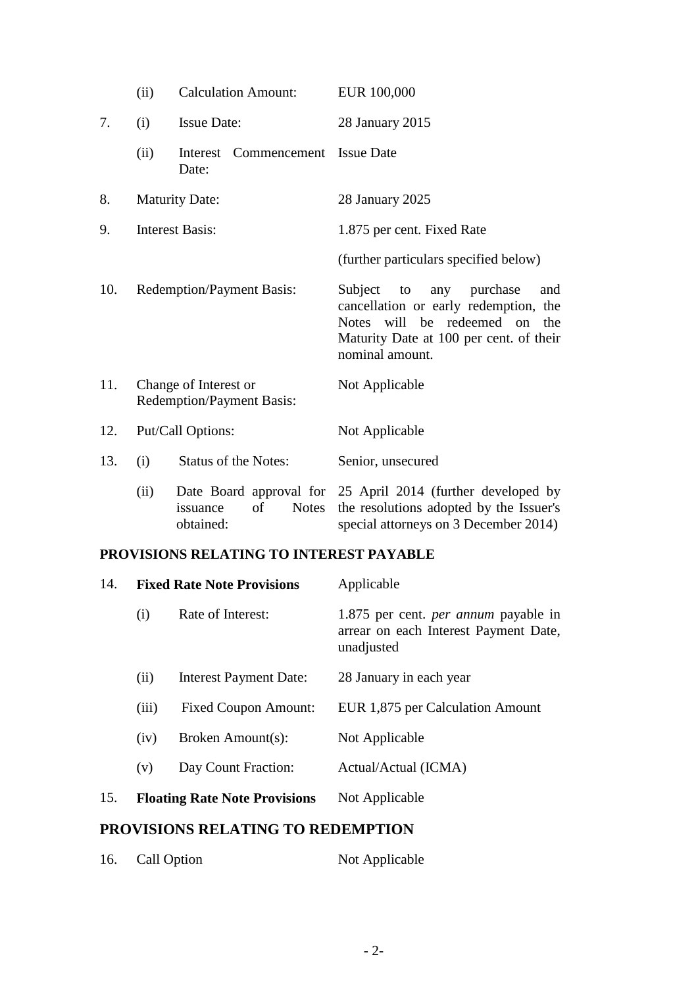|     | (ii)                                                      | <b>Calculation Amount:</b>                  | EUR 100,000                                                                                                                                                                     |
|-----|-----------------------------------------------------------|---------------------------------------------|---------------------------------------------------------------------------------------------------------------------------------------------------------------------------------|
| 7.  | (i)                                                       | <b>Issue Date:</b>                          | 28 January 2015                                                                                                                                                                 |
|     | (ii)                                                      | Commencement<br>Interest<br>Date:           | <b>Issue Date</b>                                                                                                                                                               |
| 8.  |                                                           | <b>Maturity Date:</b>                       | 28 January 2025                                                                                                                                                                 |
| 9.  | <b>Interest Basis:</b>                                    |                                             | 1.875 per cent. Fixed Rate                                                                                                                                                      |
|     |                                                           |                                             | (further particulars specified below)                                                                                                                                           |
| 10. |                                                           | <b>Redemption/Payment Basis:</b>            | Subject<br>to<br>any purchase<br>and<br>cancellation or early redemption, the<br>Notes will be redeemed on<br>the<br>Maturity Date at 100 per cent. of their<br>nominal amount. |
| 11. | Change of Interest or<br><b>Redemption/Payment Basis:</b> |                                             | Not Applicable                                                                                                                                                                  |
| 12. | Put/Call Options:                                         |                                             | Not Applicable                                                                                                                                                                  |
| 13. | (i)                                                       | <b>Status of the Notes:</b>                 | Senior, unsecured                                                                                                                                                               |
|     | (ii)                                                      | of<br><b>Notes</b><br>issuance<br>obtained: | Date Board approval for 25 April 2014 (further developed by<br>the resolutions adopted by the Issuer's<br>special attorneys on 3 December 2014)                                 |

## **PROVISIONS RELATING TO INTEREST PAYABLE**

| 14. | <b>Fixed Rate Note Provisions</b> |                                      | Applicable                                                                                         |  |
|-----|-----------------------------------|--------------------------------------|----------------------------------------------------------------------------------------------------|--|
|     | (i)                               | Rate of Interest:                    | 1.875 per cent. <i>per annum</i> payable in<br>arrear on each Interest Payment Date,<br>unadjusted |  |
|     | (ii)                              | <b>Interest Payment Date:</b>        | 28 January in each year                                                                            |  |
|     | (iii)                             | <b>Fixed Coupon Amount:</b>          | EUR 1,875 per Calculation Amount                                                                   |  |
|     | (iv)                              | Broken Amount(s):                    | Not Applicable                                                                                     |  |
|     | (v)                               | Day Count Fraction:                  | Actual/Actual (ICMA)                                                                               |  |
| 15. |                                   | <b>Floating Rate Note Provisions</b> | Not Applicable                                                                                     |  |
|     |                                   |                                      |                                                                                                    |  |

# **PROVISIONS RELATING TO REDEMPTION**

| 16.<br>Call Option<br>Not Applicable |
|--------------------------------------|
|--------------------------------------|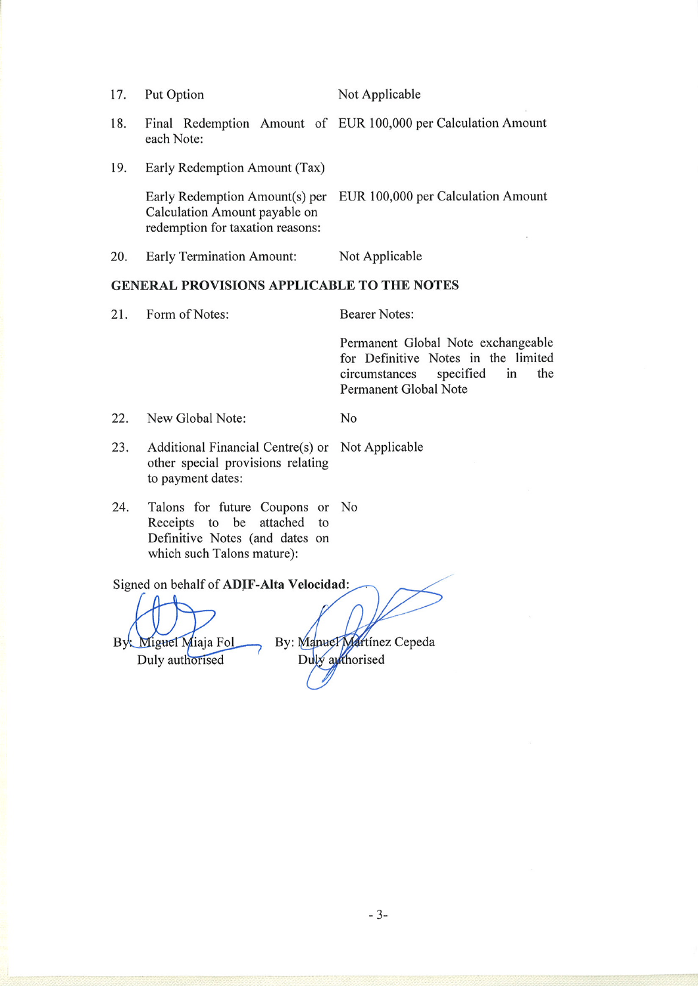17. Put Option Not Applicable

- 18. Final Redemption Amount of EUR 100,000 per Calculation Amount each Note:
- 19. Early Redemption Amount (Tax)

EUR 100,000 per Calculation Amount Early Redemption Amount(s) per Calculation Amount payable on redemption for taxation reasons:

N<sub>o</sub>

20. **Early Termination Amount:** Not Applicable

### GENERAL PROVISIONS APPLICABLE TO THE NOTES

21. Form of Notes: **Bearer Notes:** 

Permanent Global Note exchangeable for Definitive Notes in the limited circumstances specified in the Permanent Global Note

- 22. New Global Note:
- 23. Additional Financial Centre(s) or Not Applicable other special provisions relating to payment dates:
- 24. Talons for future Coupons or No Receipts to be attached to Definitive Notes (and dates on which such Talons mature):

Signed on behalf of ADIF-Alta Velocidad: By: Manuel Martinez Cepeda Miguel Miaja Fol By. Duly authorised Duly authorised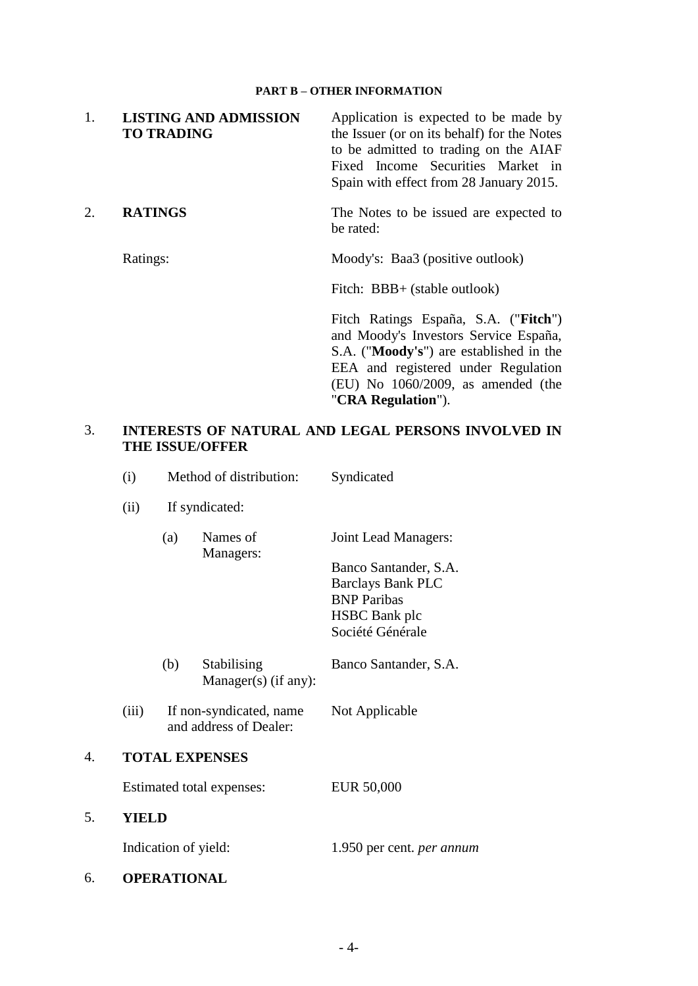#### **PART B – OTHER INFORMATION**

| 1. | <b>LISTING AND ADMISSION</b><br><b>TO TRADING</b> | Application is expected to be made by<br>the Issuer (or on its behalf) for the Notes<br>to be admitted to trading on the AIAF<br>Fixed Income Securities Market in<br>Spain with effect from 28 January 2015.                    |
|----|---------------------------------------------------|----------------------------------------------------------------------------------------------------------------------------------------------------------------------------------------------------------------------------------|
| 2. | <b>RATINGS</b>                                    | The Notes to be issued are expected to<br>be rated:                                                                                                                                                                              |
|    | Ratings:                                          | Moody's: Baa3 (positive outlook)                                                                                                                                                                                                 |
|    |                                                   | Fitch: BBB+ (stable outlook)                                                                                                                                                                                                     |
|    |                                                   | Fitch Ratings España, S.A. ("Fitch")<br>and Moody's Investors Service España,<br>S.A. ("Moody's") are established in the<br>EEA and registered under Regulation<br>$(EU)$ No $1060/2009$ , as amended (the<br>"CRA Regulation"). |
| 3. | <b>THE ISSUE/OFFER</b>                            | <b>INTERESTS OF NATURAL AND LEGAL PERSONS INVOLVED IN</b>                                                                                                                                                                        |

- (i) Method of distribution: Syndicated
- (ii) If syndicated:
	- (a) Names of Managers: Joint Lead Managers:

Banco Santander, S.A. Barclays Bank PLC BNP Paribas HSBC Bank plc Société Générale

- (b) Stabilising  $Manager(s)$  (if any): Banco Santander, S.A.
- (iii) If non-syndicated, name and address of Dealer: Not Applicable

## 4. **TOTAL EXPENSES**

Estimated total expenses: EUR 50,000

5. **YIELD**

Indication of yield: 1.950 per cent. *per annum*

6. **OPERATIONAL**